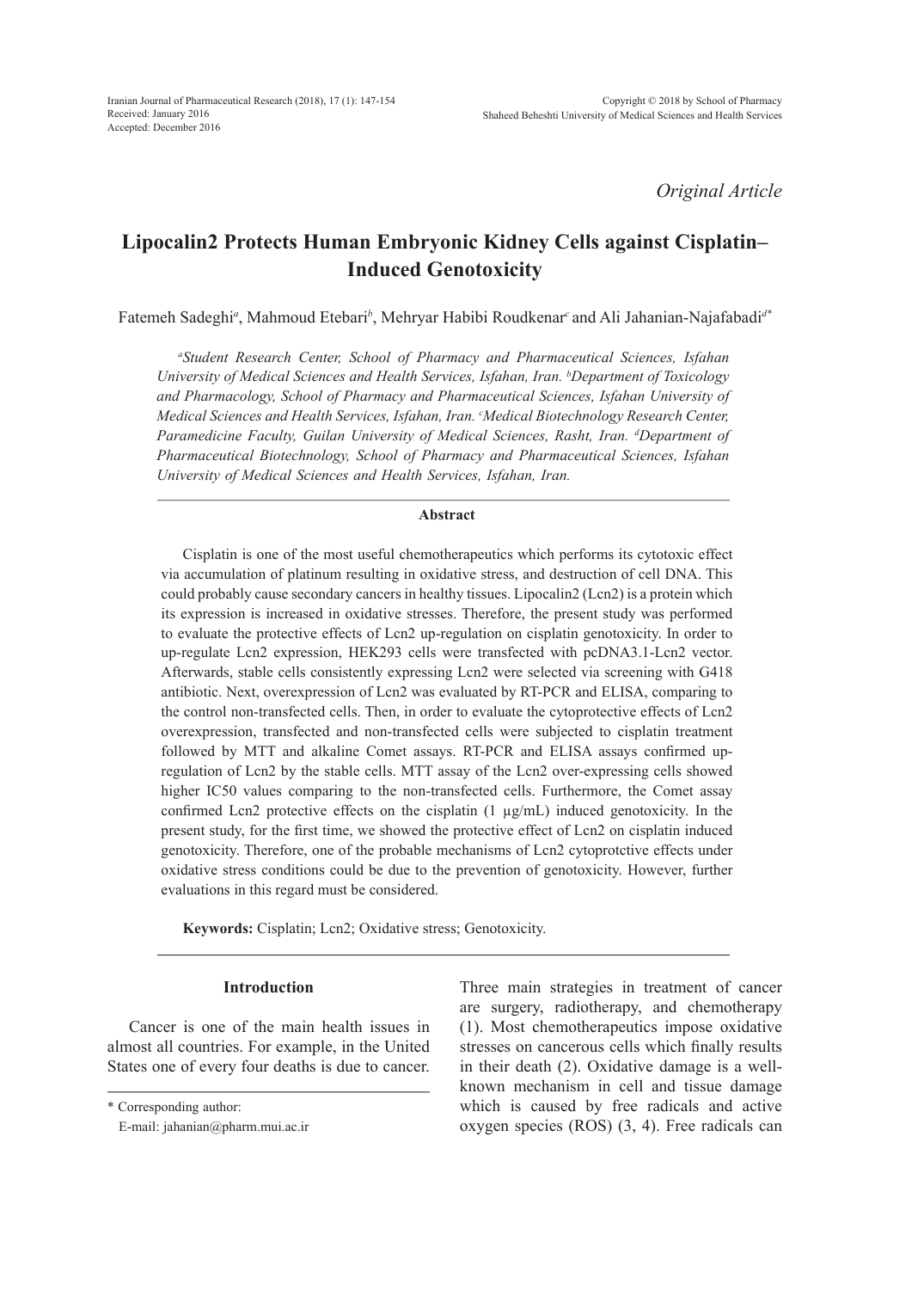*Original Article*

# **Lipocalin2 Protects Human Embryonic Kidney Cells against Cisplatin– Induced Genotoxicity**

Fatemeh Sadeghi*<sup>a</sup>* , Mahmoud Etebari*<sup>b</sup>* , Mehryar Habibi Roudkenar*<sup>c</sup>*and Ali Jahanian-Najafabadi*d\**

*a Student Research Center, School of Pharmacy and Pharmaceutical Sciences, Isfahan University of Medical Sciences and Health Services, Isfahan, Iran. b Department of Toxicology and Pharmacology, School of Pharmacy and Pharmaceutical Sciences, Isfahan University of Medical Sciences and Health Services, Isfahan, Iran. c Medical Biotechnology Research Center, Paramedicine Faculty, Guilan University of Medical Sciences, Rasht, Iran. d Department of Pharmaceutical Biotechnology, School of Pharmacy and Pharmaceutical Sciences, Isfahan University of Medical Sciences and Health Services, Isfahan, Iran.*

## **Abstract**

Cisplatin is one of the most useful chemotherapeutics which performs its cytotoxic effect via accumulation of platinum resulting in oxidative stress, and destruction of cell DNA. This could probably cause secondary cancers in healthy tissues. Lipocalin2 (Lcn2) is a protein which its expression is increased in oxidative stresses. Therefore, the present study was performed to evaluate the protective effects of Lcn2 up-regulation on cisplatin genotoxicity. In order to up-regulate Lcn2 expression, HEK293 cells were transfected with pcDNA3.1-Lcn2 vector. Afterwards, stable cells consistently expressing Lcn2 were selected via screening with G418 antibiotic. Next, overexpression of Lcn2 was evaluated by RT-PCR and ELISA, comparing to the control non-transfected cells. Then, in order to evaluate the cytoprotective effects of Lcn2 overexpression, transfected and non-transfected cells were subjected to cisplatin treatment followed by MTT and alkaline Comet assays. RT-PCR and ELISA assays confirmed upregulation of Lcn2 by the stable cells. MTT assay of the Lcn2 over-expressing cells showed higher IC50 values comparing to the non-transfected cells. Furthermore, the Comet assay confirmed Lcn2 protective effects on the cisplatin  $(1 \mu g/mL)$  induced genotoxicity. In the present study, for the first time, we showed the protective effect of Lcn2 on cisplatin induced genotoxicity. Therefore, one of the probable mechanisms of Lcn2 cytoprotctive effects under oxidative stress conditions could be due to the prevention of genotoxicity. However, further evaluations in this regard must be considered.

**Keywords:** Cisplatin; Lcn2; Oxidative stress; Genotoxicity.

#### **Introduction**

Cancer is one of the main health issues in almost all countries. For example, in the United States one of every four deaths is due to cancer. Three main strategies in treatment of cancer are surgery, radiotherapy, and chemotherapy (1). Most chemotherapeutics impose oxidative stresses on cancerous cells which finally results in their death (2). Oxidative damage is a wellknown mechanism in cell and tissue damage which is caused by free radicals and active oxygen species (ROS) (3, 4). Free radicals can

<sup>\*</sup> Corresponding author:

E-mail: jahanian@pharm.mui.ac.ir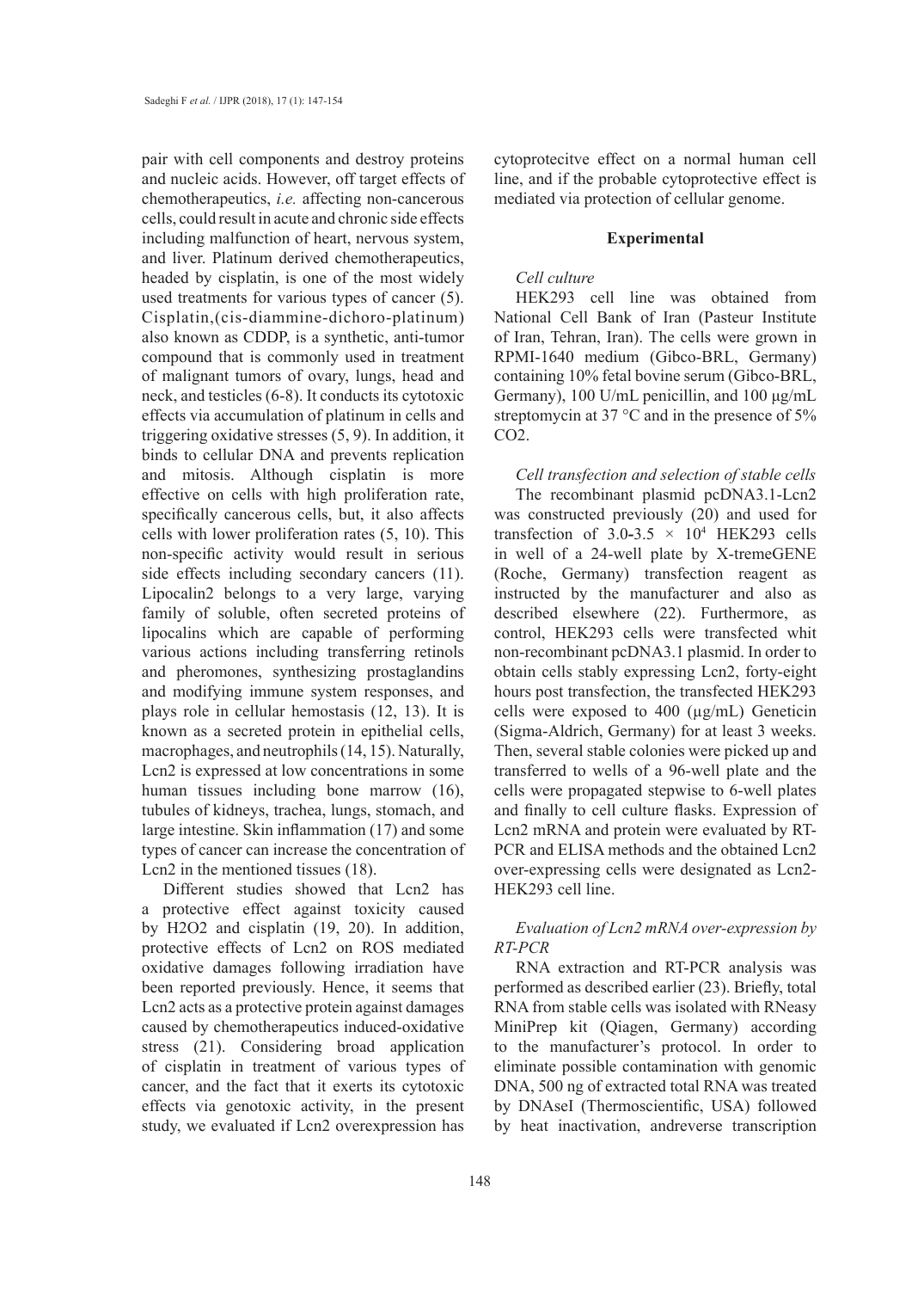pair with cell components and destroy proteins and nucleic acids. However, off target effects of chemotherapeutics, *i.e.* affecting non-cancerous cells, could result in acute and chronic side effects including malfunction of heart, nervous system, and liver. Platinum derived chemotherapeutics, headed by cisplatin, is one of the most widely used treatments for various types of cancer (5). Cisplatin,(cis-diammine-dichoro-platinum) also known as CDDP, is a synthetic, anti-tumor compound that is commonly used in treatment of malignant tumors of ovary, lungs, head and neck, and testicles (6-8). It conducts its cytotoxic effects via accumulation of platinum in cells and triggering oxidative stresses (5, 9). In addition, it binds to cellular DNA and prevents replication and mitosis. Although cisplatin is more effective on cells with high proliferation rate, specifically cancerous cells, but, it also affects cells with lower proliferation rates (5, 10). This non-specific activity would result in serious side effects including secondary cancers (11). Lipocalin2 belongs to a very large, varying family of soluble, often secreted proteins of lipocalins which are capable of performing various actions including transferring retinols and pheromones, synthesizing prostaglandins and modifying immune system responses, and plays role in cellular hemostasis (12, 13). It is known as a secreted protein in epithelial cells, macrophages, and neutrophils (14, 15). Naturally, Lcn2 is expressed at low concentrations in some human tissues including bone marrow (16), tubules of kidneys, trachea, lungs, stomach, and large intestine. Skin inflammation (17) and some types of cancer can increase the concentration of Lcn2 in the mentioned tissues (18).

Different studies showed that Lcn2 has a protective effect against toxicity caused by H2O2 and cisplatin (19, 20). In addition, protective effects of Lcn2 on ROS mediated oxidative damages following irradiation have been reported previously. Hence, it seems that Lcn2 acts as a protective protein against damages caused by chemotherapeutics induced-oxidative stress (21). Considering broad application of cisplatin in treatment of various types of cancer, and the fact that it exerts its cytotoxic effects via genotoxic activity, in the present study, we evaluated if Lcn2 overexpression has cytoprotecitve effect on a normal human cell line, and if the probable cytoprotective effect is mediated via protection of cellular genome.

#### **Experimental**

## *Cell culture*

HEK293 cell line was obtained from National Cell Bank of Iran (Pasteur Institute of Iran, Tehran, Iran). The cells were grown in RPMI-1640 medium (Gibco-BRL, Germany) containing 10% fetal bovine serum (Gibco-BRL, Germany), 100 U/mL penicillin, and 100 μg/mL streptomycin at 37 °C and in the presence of 5% CO2.

*Cell transfection and selection of stable cells*

The recombinant plasmid pcDNA3.1-Lcn2 was constructed previously (20) and used for transfection of  $3.0-3.5 \times 10^4$  HEK293 cells in well of a 24-well plate by X-tremeGENE (Roche, Germany) transfection reagent as instructed by the manufacturer and also as described elsewhere (22). Furthermore, as control, HEK293 cells were transfected whit non-recombinant pcDNA3.1 plasmid. In order to obtain cells stably expressing Lcn2, forty-eight hours post transfection, the transfected HEK293 cells were exposed to 400 (µg/mL) Geneticin (Sigma-Aldrich, Germany) for at least 3 weeks. Then, several stable colonies were picked up and transferred to wells of a 96-well plate and the cells were propagated stepwise to 6-well plates and finally to cell culture flasks. Expression of Lcn2 mRNA and protein were evaluated by RT-PCR and ELISA methods and the obtained Lcn2 over-expressing cells were designated as Lcn2- HEK293 cell line.

## *Evaluation of Lcn2 mRNA over-expression by RT-PCR*

RNA extraction and RT-PCR analysis was performed as described earlier (23). Briefly, total RNA from stable cells was isolated with RNeasy MiniPrep kit (Qiagen, Germany) according to the manufacturer's protocol. In order to eliminate possible contamination with genomic DNA, 500 ng of extracted total RNA was treated by DNAseI (Thermoscientific, USA) followed by heat inactivation, andreverse transcription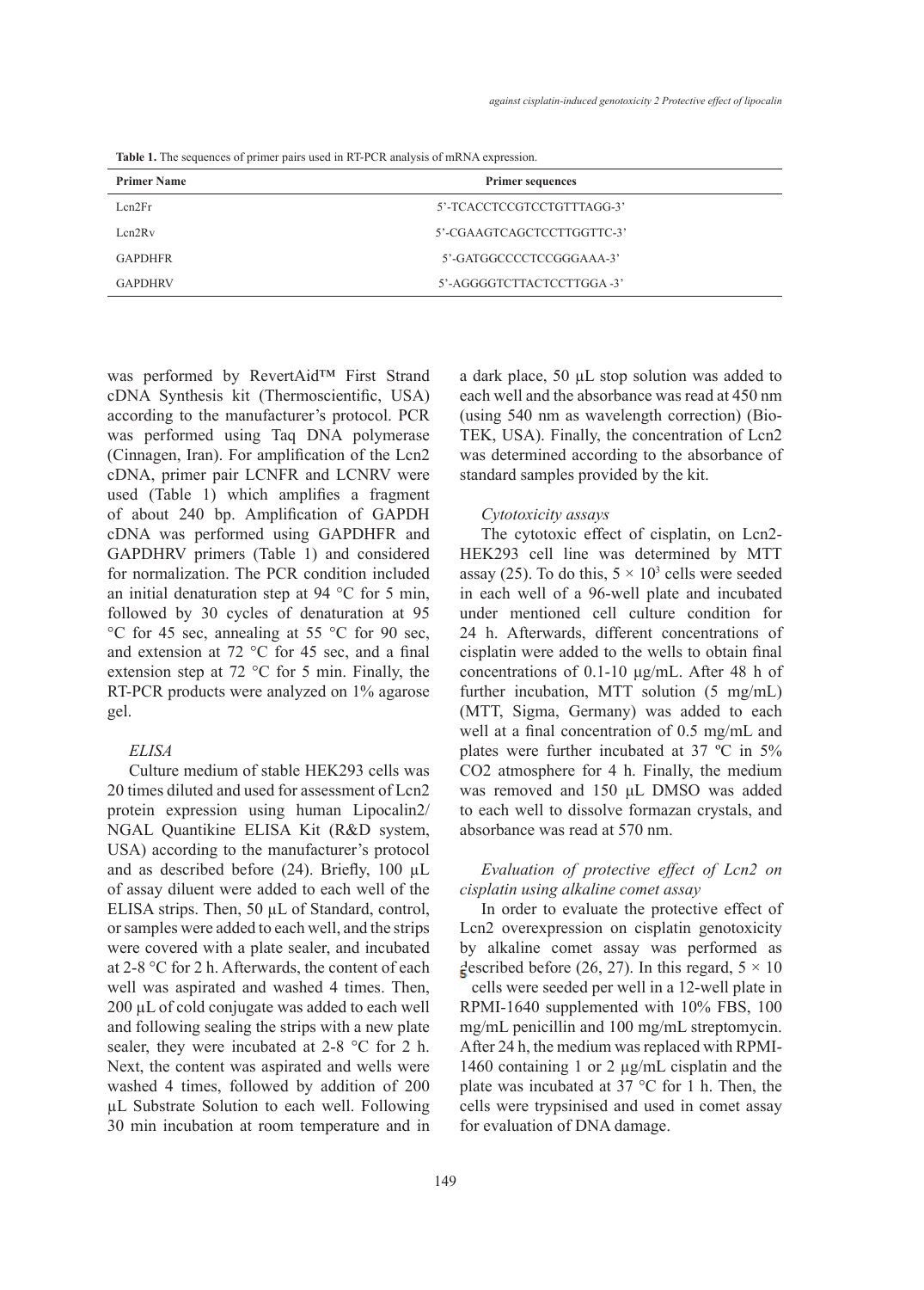**Table 1.** The sequences of primer pairs used in RT-PCR analysis of mRNA expression.

| <b>Primer Name</b> | <b>Primer sequences</b>    |  |
|--------------------|----------------------------|--|
| Len2Fr             | 5'-TCACCTCCGTCCTGTTTAGG-3' |  |
| Len2Rv             | 5'-CGAAGTCAGCTCCTTGGTTC-3' |  |
| <b>GAPDHFR</b>     | 5'-GATGGCCCCTCCGGGAAA-3'   |  |
| <b>GAPDHRV</b>     | 5'-AGGGGTCTTACTCCTTGGA-3'  |  |
|                    |                            |  |

was performed by RevertAid™ First Strand cDNA Synthesis kit (Thermoscientific, USA) according to the manufacturer's protocol. PCR was performed using Taq DNA polymerase (Cinnagen, Iran). For amplification of the Lcn2 cDNA, primer pair LCNFR and LCNRV were used (Table 1) which amplifies a fragment of about 240 bp. Amplification of GAPDH cDNA was performed using GAPDHFR and GAPDHRV primers (Table 1) and considered for normalization. The PCR condition included an initial denaturation step at 94 °C for 5 min, followed by 30 cycles of denaturation at 95 °C for 45 sec, annealing at 55 °C for 90 sec, and extension at 72 °C for 45 sec, and a final extension step at 72 °C for 5 min. Finally, the RT-PCR products were analyzed on 1% agarose gel.

## *ELISA*

Culture medium of stable HEK293 cells was 20 times diluted and used for assessment of Lcn2 protein expression using human Lipocalin2/ NGAL Quantikine ELISA Kit (R&D system, USA) according to the manufacturer's protocol and as described before (24). Briefly, 100 µL of assay diluent were added to each well of the ELISA strips. Then, 50 µL of Standard, control, or samples were added to each well, and the strips were covered with a plate sealer, and incubated at 2-8 °C for 2 h. Afterwards, the content of each well was aspirated and washed 4 times. Then, 200 µL of cold conjugate was added to each well and following sealing the strips with a new plate sealer, they were incubated at 2-8 °C for 2 h. Next, the content was aspirated and wells were washed 4 times, followed by addition of 200 µL Substrate Solution to each well. Following 30 min incubation at room temperature and in

149

a dark place, 50 µL stop solution was added to each well and the absorbance was read at 450 nm (using 540 nm as wavelength correction) (Bio-TEK, USA). Finally, the concentration of Lcn2 was determined according to the absorbance of standard samples provided by the kit.

#### *Cytotoxicity assays*

The cytotoxic effect of cisplatin, on Lcn2- HEK293 cell line was determined by MTT assay (25). To do this,  $5 \times 10^3$  cells were seeded in each well of a 96-well plate and incubated under mentioned cell culture condition for 24 h. Afterwards, different concentrations of cisplatin were added to the wells to obtain final concentrations of 0.1-10 μg/mL. After 48 h of further incubation, MTT solution (5 mg/mL) (MTT, Sigma, Germany) was added to each well at a final concentration of 0.5 mg/mL and plates were further incubated at 37 ºC in 5% CO2 atmosphere for 4 h. Finally, the medium was removed and 150 μL DMSO was added to each well to dissolve formazan crystals, and absorbance was read at 570 nm.

## *Evaluation of protective effect of Lcn2 on cisplatin using alkaline comet assay*

In order to evaluate the protective effect of Lcn2 overexpression on cisplatin genotoxicity by alkaline comet assay was performed as described before (26, 27). In this regard,  $5 \times 10$  cells were seeded per well in a 12-well plate in RPMI-1640 supplemented with 10% FBS, 100 mg/mL penicillin and 100 mg/mL streptomycin. After 24 h, the medium was replaced with RPMI-1460 containing 1 or 2 µg/mL cisplatin and the plate was incubated at 37 °C for 1 h. Then, the cells were trypsinised and used in comet assay for evaluation of DNA damage.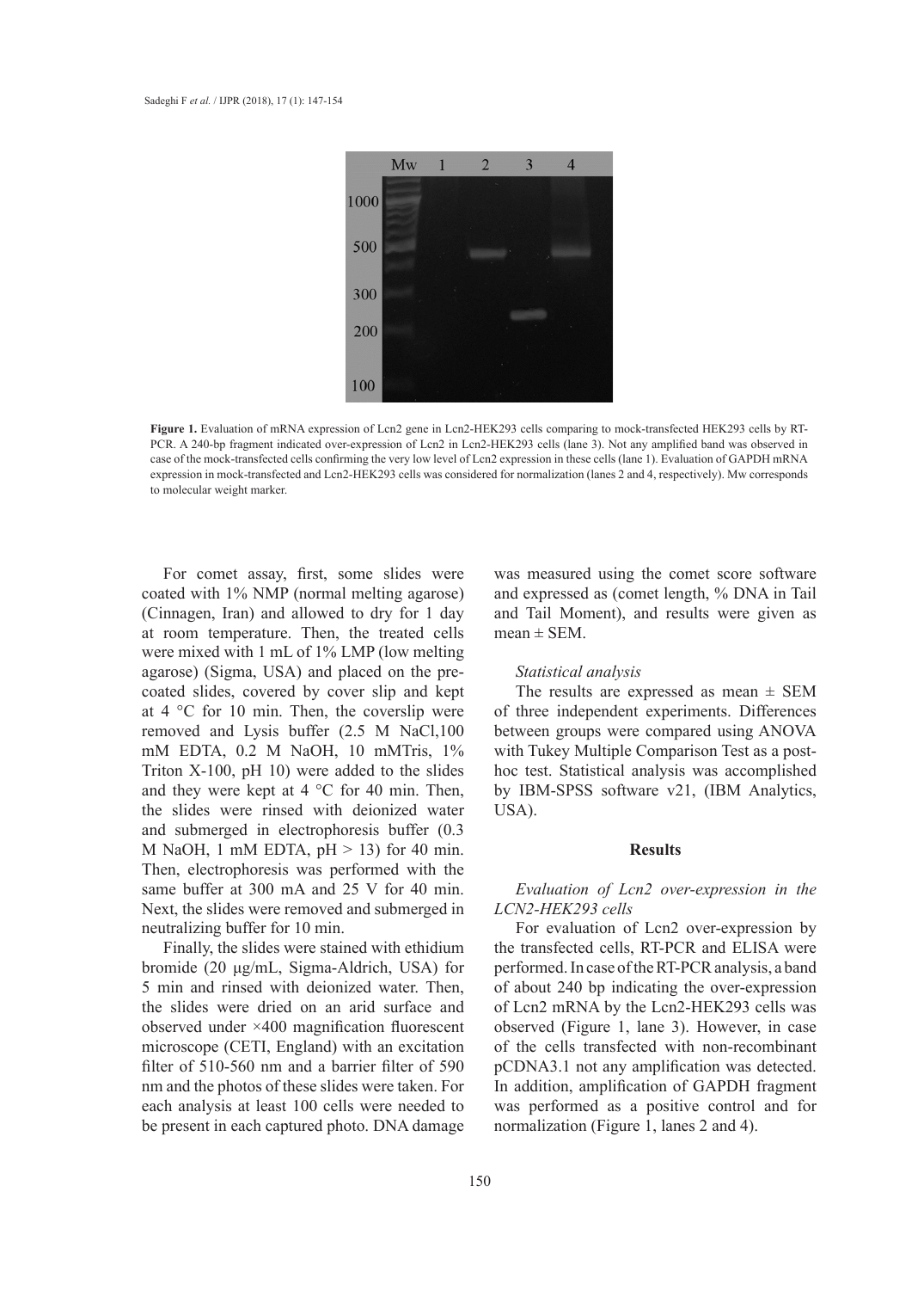

Figure 1. Evaluation of mRNA expression of Lcn2 gene in Lcn2-HEK293 cells comparing to mock-transfected HEK293 cells by RT-PCR. A 240-bp fragment indicated over-expression of Lcn2 in Lcn2-HEK293 cells (lane 3). Not any amplified band was observed in case of the mock-transfected cells confirming the very low level of Lcn2 expression in these cells (lane 1). Evaluation of GAPDH mRNA expression in mock-transfected and Lcn2-HEK293 cells was considered for normalization (lanes 2 and 4, respectively). Mw corresponds to molecular weight marker.

For comet assay, first, some slides were coated with 1% NMP (normal melting agarose) (Cinnagen, Iran) and allowed to dry for 1 day at room temperature. Then, the treated cells were mixed with 1 mL of 1% LMP (low melting agarose) (Sigma, USA) and placed on the precoated slides, covered by cover slip and kept at 4 °C for 10 min. Then, the coverslip were removed and Lysis buffer (2.5 M NaCl,100 mM EDTA, 0.2 M NaOH, 10 mMTris, 1% Triton X-100, pH 10) were added to the slides and they were kept at 4 °C for 40 min. Then, the slides were rinsed with deionized water and submerged in electrophoresis buffer (0.3 and submerged in electrophotesis surfer (8.5<br>M NaOH, 1 mM EDTA, pH > 13) for 40 min. Then, electrophoresis was performed with the same buffer at 300 mA and 25 V for 40 min. Next, the slides were removed and submerged in neutralizing buffer for 10 min.

Finally, the slides were stained with ethidium bromide (20 μg/mL, Sigma-Aldrich, USA) for 5 min and rinsed with deionized water. Then, the slides were dried on an arid surface and observed under ×400 magnification fluorescent microscope (CETI, England) with an excitation filter of 510-560 nm and a barrier filter of 590 nm and the photos of these slides were taken. For each analysis at least 100 cells were needed to be present in each captured photo. DNA damage

was measured using the comet score software and expressed as (comet length, % DNA in Tail and Tail Moment), and results were given as mean  $\pm$  SEM.

#### *Statistical analysis*

The results are expressed as mean  $\pm$  SEM of three independent experiments. Differences between groups were compared using ANOVA with Tukey Multiple Comparison Test as a posthoc test. Statistical analysis was accomplished by IBM-SPSS software v21, (IBM Analytics, USA).

#### **Results**

## *Evaluation of Lcn2 over-expression in the LCN2-HEK293 cells*

For evaluation of Lcn2 over-expression by the transfected cells, RT-PCR and ELISA were performed. In case of the RT-PCR analysis, a band of about 240 bp indicating the over-expression of Lcn2 mRNA by the Lcn2-HEK293 cells was observed (Figure 1, lane 3). However, in case of the cells transfected with non-recombinant pCDNA3.1 not any amplification was detected. In addition, amplification of GAPDH fragment was performed as a positive control and for normalization (Figure 1, lanes 2 and 4).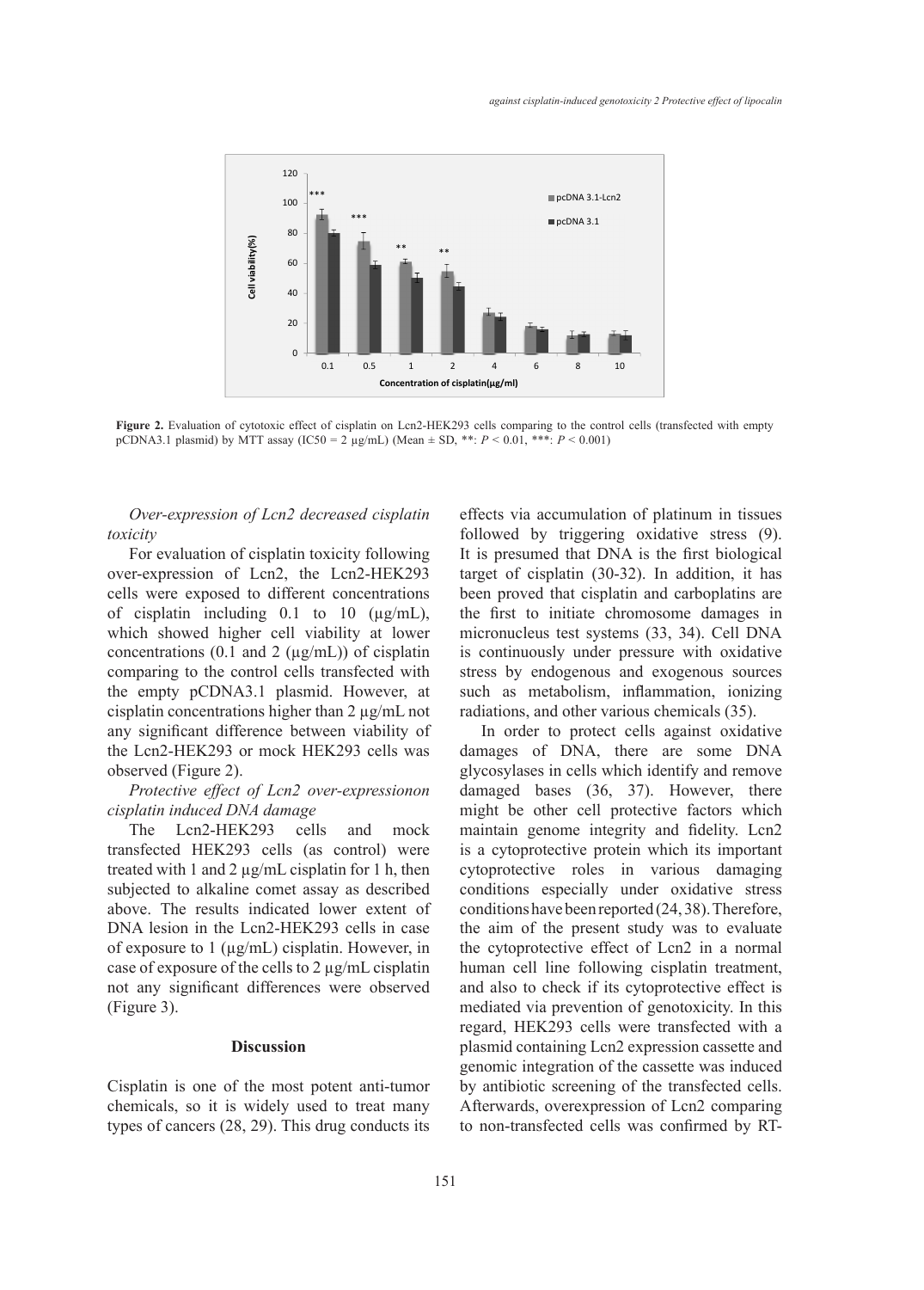

Figure 2. Evaluation of cytotoxic effect of cisplatin on Lcn2-HEK293 cells comparing to the control cells (transfected with empty pCDNA3.1 plasmid) by MTT assay (IC50 = 2 µg/mL) (Mean ± SD, \*\*: *P* < 0.01, \*\*\*: *P* < 0.001)

*Over-expression of Lcn2 decreased cisplatin toxicity*

For evaluation of cisplatin toxicity following over-expression of Lcn2, the Lcn2-HEK293 cells were exposed to different concentrations been proved that c of cisplatin including  $0.1$  to  $10 \text{ (µg/mL)}$ , which showed higher cell viability at lower micronucleus test systems (3 concentrations (0.1 and 2  $(\mu g/mL)$ ) of cisplatin comparing to the control cells transfected with the empty pCDNA3.1 plasmid. However, at cisplatin concentrations higher than 2 µg/mL not any significant difference between viability of the Lcn2-HEK293 or mock HEK293 cells was observed (Figure 2).

*Protective effect of Lcn2 over-expressionon cisplatin induced DNA damage*

The Lcn2-HEK293 cells and mock transfected HEK293 cells (as control) were treated with 1 and 2 µg/mL cisplatin for 1 h, then subjected to alkaline comet assay as described above. The results indicated lower extent of DNA lesion in the Lcn2-HEK293 cells in case of exposure to  $1 \text{ (µg/mL)}$  cisplatin. However, in case of exposure of the cells to 2 µg/mL cisplatin not any significant differences were observed (Figure 3).

## **Discussion**

Cisplatin is one of the most potent anti-tumor chemicals, so it is widely used to treat many types of cancers (28, 29). This drug conducts its

on of Lcn2 decreased cisplatin effects via accumulation of platinum in tissues followed by triggering oxidative stress (9). It is presumed that DNA is the first biological target of cisplatin (30-32). In addition, it has been proved that cisplatin and carboplatins are the first to initiate chromosome damages in micronucleus test systems (33, 34). Cell DNA  $1$  and  $2 \text{ (µg/mL)}$ ) of cisplatin is continuously under pressure with oxidative control cells transfected with stress by endogenous and exogenous sources such as metabolism, inflammation, ionizing radiations, and other various chemicals (35).

> In order to protect cells against oxidative damages of DNA, there are some DNA glycosylases in cells which identify and remove damaged bases (36, 37). However, there might be other cell protective factors which maintain genome integrity and fidelity. Lcn2 is a cytoprotective protein which its important cytoprotective roles in various damaging conditions especially under oxidative stress conditions have been reported (24, 38). Therefore, the aim of the present study was to evaluate the cytoprotective effect of Lcn2 in a normal human cell line following cisplatin treatment, and also to check if its cytoprotective effect is mediated via prevention of genotoxicity. In this regard, HEK293 cells were transfected with a plasmid containing Lcn2 expression cassette and genomic integration of the cassette was induced by antibiotic screening of the transfected cells. Afterwards, overexpression of Lcn2 comparing to non-transfected cells was confirmed by RT-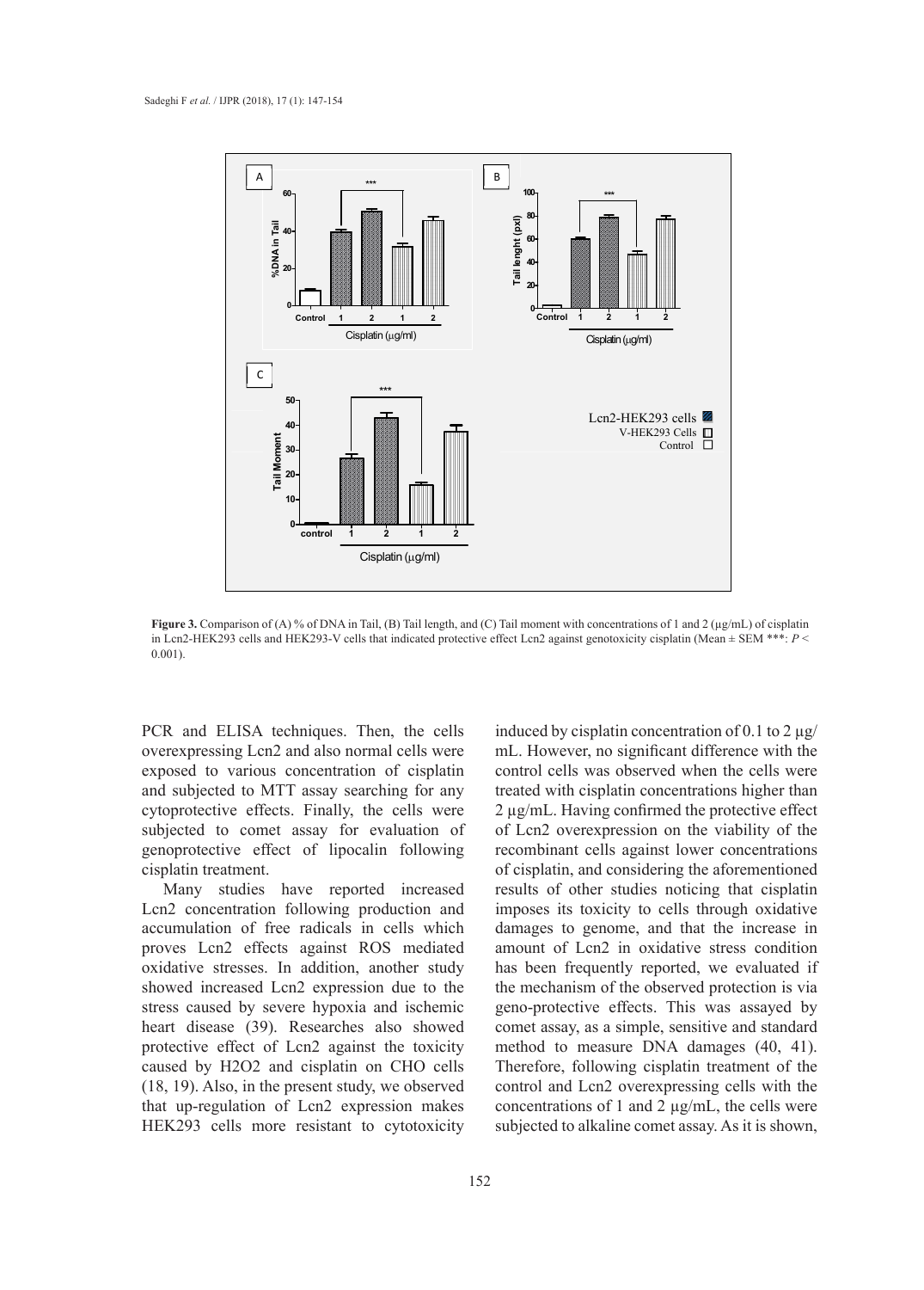

**Figure 3.** Comparison of (A) % of DNA in Tail, (B) Tail length, and (C) Tail moment with concentrations of 1 and 2 (µg/mL) of cisplatin in Len2-HEK293 cells and HEK293-V cells that indicated protective effect Len2 against genotoxicity cisplatin (Mean  $\pm$  SEM \*\*\*: P < 0.001).

PCR and ELISA techniques. Then, the cells overexpressing Lcn2 and also normal cells were exposed to various concentration of cisplatin and subjected to MTT assay searching for any cytoprotective effects. Finally, the cells were subjected to comet assay for evaluation of genoprotective effect of lipocalin following cisplatin treatment.

Many studies have reported increased Lcn2 concentration following production and accumulation of free radicals in cells which proves Lcn2 effects against ROS mediated oxidative stresses. In addition, another study showed increased Lcn2 expression due to the stress caused by severe hypoxia and ischemic heart disease (39). Researches also showed protective effect of Lcn2 against the toxicity caused by H2O2 and cisplatin on CHO cells (18, 19). Also, in the present study, we observed that up-regulation of Lcn2 expression makes HEK293 cells more resistant to cytotoxicity

152

induced by cisplatin concentration of 0.1 to 2  $\mu$ g/ mL. However, no significant difference with the control cells was observed when the cells were treated with cisplatin concentrations higher than 2 µg/mL. Having confirmed the protective effect of Lcn2 overexpression on the viability of the recombinant cells against lower concentrations of cisplatin, and considering the aforementioned results of other studies noticing that cisplatin imposes its toxicity to cells through oxidative damages to genome, and that the increase in amount of Lcn2 in oxidative stress condition has been frequently reported, we evaluated if the mechanism of the observed protection is via geno-protective effects. This was assayed by comet assay, as a simple, sensitive and standard method to measure DNA damages (40, 41). Therefore, following cisplatin treatment of the control and Lcn2 overexpressing cells with the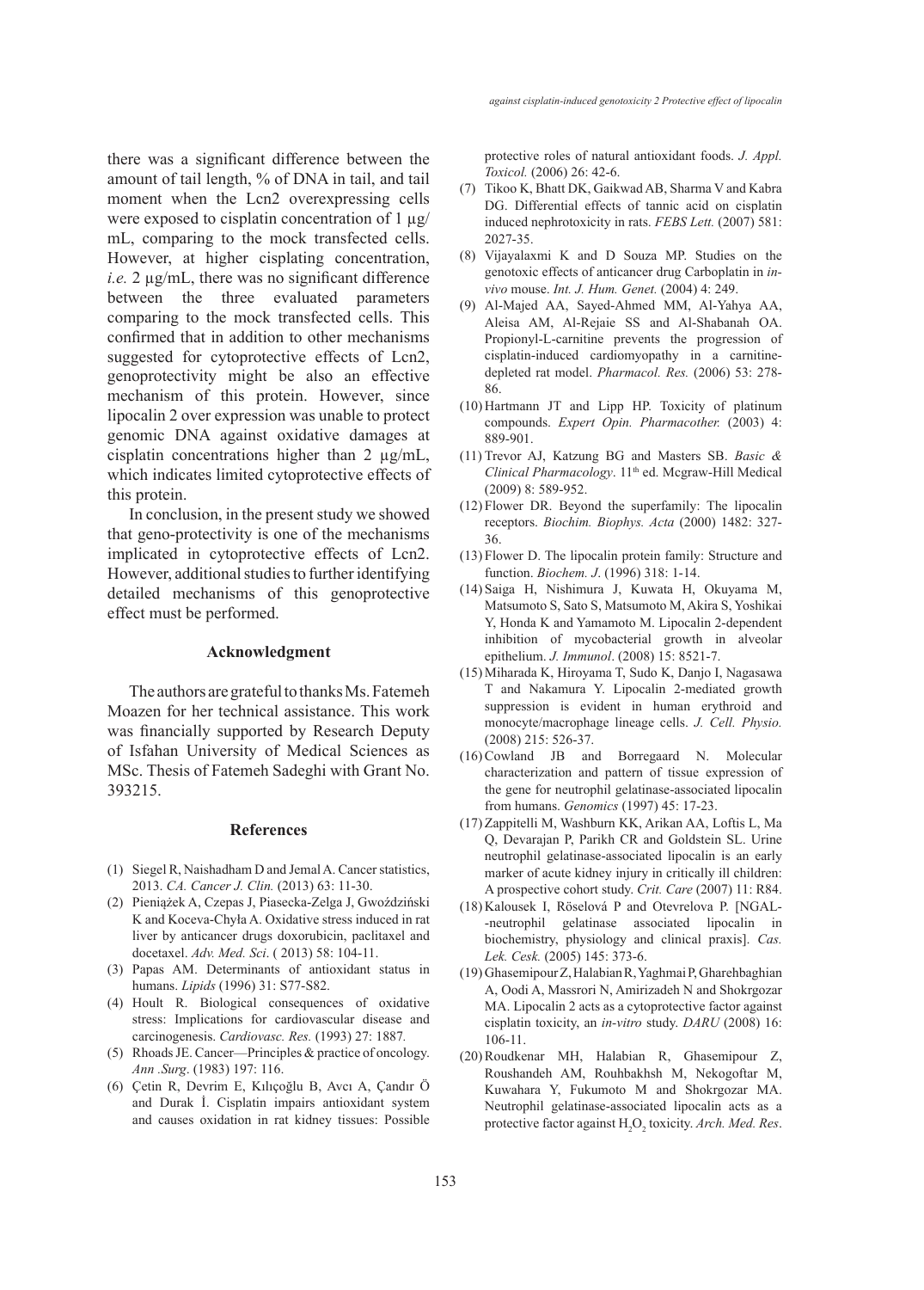there was a significant difference between the amount of tail length, % of DNA in tail, and tail moment when the Lcn2 overexpressing cells were exposed to cisplatin concentration of 1  $\mu$ g/ mL, comparing to the mock transfected cells. However, at higher cisplating concentration, *i.e.* 2 µg/mL, there was no significant difference between the three evaluated parameters comparing to the mock transfected cells. This confirmed that in addition to other mechanisms suggested for cytoprotective effects of Lcn2, genoprotectivity might be also an effective mechanism of this protein. However, since lipocalin 2 over expression was unable to protect genomic DNA against oxidative damages at cisplatin concentrations higher than 2 µg/mL, which indicates limited cytoprotective effects of this protein.

In conclusion, in the present study we showed that geno-protectivity is one of the mechanisms implicated in cytoprotective effects of Lcn2. However, additional studies to further identifying detailed mechanisms of this genoprotective effect must be performed.

## **Acknowledgment**

The authors are grateful to thanks Ms. Fatemeh Moazen for her technical assistance. This work was financially supported by Research Deputy of Isfahan University of Medical Sciences as MSc. Thesis of Fatemeh Sadeghi with Grant No. 393215.

#### **References**

- Siegel R, Naishadham D and Jemal A. Cancer statistics, (1) 2013. *CA. Cancer J. Clin.* (2013) 63: 11-30.
- Pieniążek A, Czepas J, Piasecka-Zelga J, Gwoździński (2) K and Koceva-Chyła A. Oxidative stress induced in rat liver by anticancer drugs doxorubicin, paclitaxel and docetaxel. *Adv. Med. Sci*. ( 2013) 58: 104-11.
- Papas AM. Determinants of antioxidant status in (3) humans. *Lipids* (1996) 31: S77-S82.
- (4) Hoult R. Biological consequences of oxidative stress: Implications for cardiovascular disease and carcinogenesis. *Cardiovasc. Res.* (1993) 27: 1887*.*
- (5) Rhoads JE. Cancer—Principles & practice of oncology. *Ann .Surg*. (1983) 197: 116.
- Çetin R, Devrim E, Kılıçoğlu B, Avcı A, Çandır Ö (6)and Durak İ. Cisplatin impairs antioxidant system and causes oxidation in rat kidney tissues: Possible

protective roles of natural antioxidant foods. *J. Appl. Toxicol.* (2006) 26: 42-6.

- (7) Tikoo K, Bhatt DK, Gaikwad AB, Sharma V and Kabra DG. Differential effects of tannic acid on cisplatin induced nephrotoxicity in rats. *FEBS Lett.* (2007) 581: 2027-35.
- Vijayalaxmi K and D Souza MP. Studies on the (8) genotoxic effects of anticancer drug Carboplatin in *invivo* mouse. *Int. J. Hum. Genet.* (2004) 4: 249.
- Al-Majed AA, Sayed-Ahmed MM, Al-Yahya AA, (9) Aleisa AM, Al-Rejaie SS and Al-Shabanah OA. Propionyl-L-carnitine prevents the progression of cisplatin-induced cardiomyopathy in a carnitinedepleted rat model. *Pharmacol. Res.* (2006) 53: 278- 86.
- $(10)$  Hartmann JT and Lipp HP. Toxicity of platinum compounds. *Expert Opin. Pharmacother.* (2003) 4: 889-901.
- (11) Trevor AJ, Katzung BG and Masters SB. *Basic & Clinical Pharmacology*. 11<sup>th</sup> ed. Mcgraw-Hill Medical (2009) 8: 589-952.
- $(12)$  Flower DR. Beyond the superfamily: The lipocalin receptors. *Biochim. Biophys. Acta* (2000) 1482: 327- 36.
- (13) Flower D. The lipocalin protein family: Structure and function. *Biochem. J*. (1996) 318: 1-14.
- (14) Saiga H, Nishimura J, Kuwata H, Okuyama M, Matsumoto S, Sato S, Matsumoto M, Akira S, Yoshikai Y, Honda K and Yamamoto M. Lipocalin 2-dependent inhibition of mycobacterial growth in alveolar epithelium. *J. Immunol*. (2008) 15: 8521-7.
- (15) Miharada K, Hiroyama T, Sudo K, Danjo I, Nagasawa T and Nakamura Y. Lipocalin 2-mediated growth suppression is evident in human erythroid and monocyte/macrophage lineage cells. *J. Cell. Physio.* (2008) 215: 526-37.
- $(16)$  Cowland JB and Borregaard N. Molecular characterization and pattern of tissue expression of the gene for neutrophil gelatinase-associated lipocalin from humans. *Genomics* (1997) 45: 17-23.
- (17) Zappitelli M, Washburn KK, Arikan AA, Loftis L, Ma Q, Devarajan P, Parikh CR and Goldstein SL. Urine neutrophil gelatinase-associated lipocalin is an early marker of acute kidney injury in critically ill children: A prospective cohort study. *Crit. Care* (2007) 11: R84.
- (18) Kalousek I, Röselová P and Otevrelova P. [NGAL--neutrophil gelatinase associated lipocalin in biochemistry, physiology and clinical praxis]. *Cas. Lek. Cesk.* (2005) 145: 373-6.
- (19) Ghasemipour Z, Halabian R, Yaghmai P, Gharehbaghian A, Oodi A, Massrori N, Amirizadeh N and Shokrgozar MA. Lipocalin 2 acts as a cytoprotective factor against cisplatin toxicity, an *in-vitro* study. *DARU* (2008) 16: 106-11.
- (20) Roudkenar MH, Halabian R, Ghasemipour Z, Roushandeh AM, Rouhbakhsh M, Nekogoftar M, Kuwahara Y, Fukumoto M and Shokrgozar MA. Neutrophil gelatinase-associated lipocalin acts as a protective factor against H<sub>2</sub>O<sub>2</sub> toxicity. Arch. Med. Res.